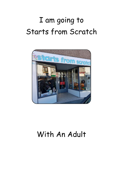## I am going to Starts from Scratch



## With An Adult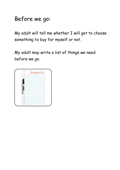Before we go:

My adult will tell me whether I will get to choose something to buy for myself or not.

My adult may write a list of things we need before we go.

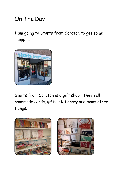## On The Day

I am going to Starts from Scratch to get some shopping.



Starts from Scratch is a gift shop. They sell handmade cards, gifts, stationary and many other things.



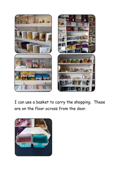

I can use a basket to carry the shopping. These are on the floor across from the door.

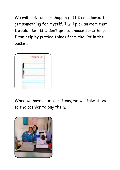We will look for our shopping. If I am allowed to get something for myself, I will pick an item that I would like. If I don't get to choose something, I can help by putting things from the list in the basket.



When we have all of our items, we will take them to the cashier to buy them.